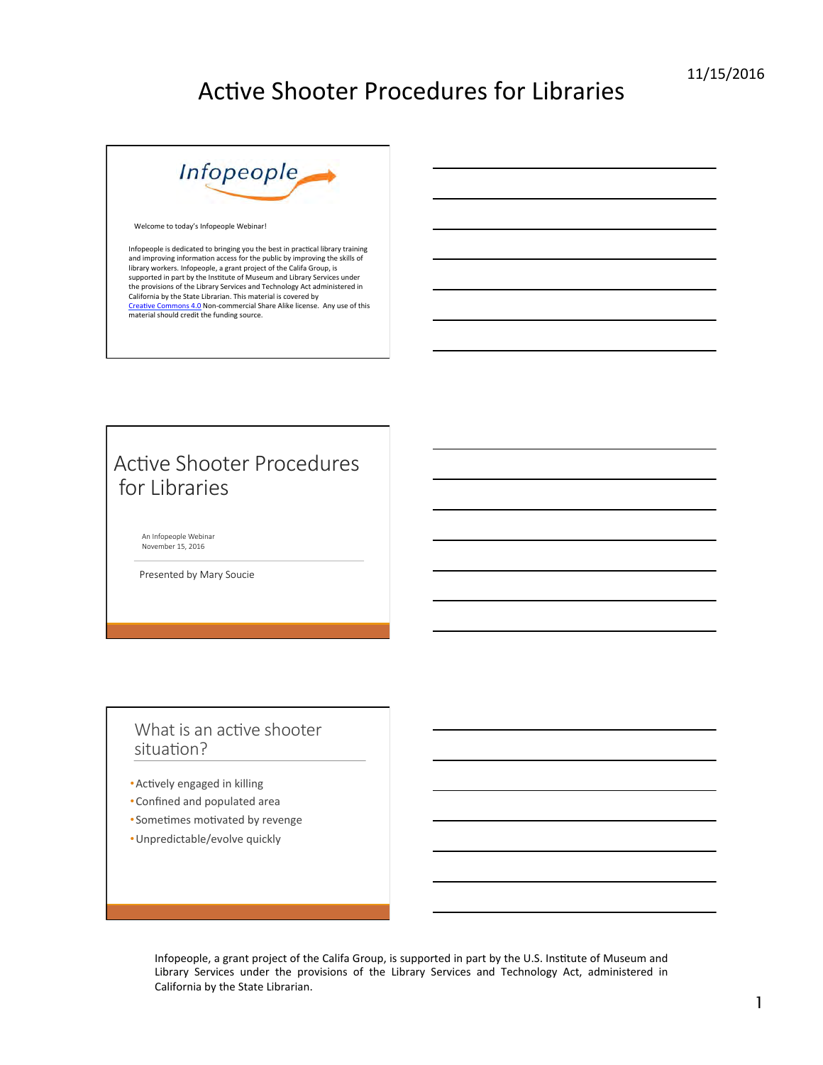

Welcome to today's Infopeople Webinar!

Infopeople is dedicated to bringing you the best in practical library training<br>and improving information access for the public by improving the skills of library workers. Infopeople, a grant project of the Califa Group, is<br>supported in part by the Institute of Museum and Library Services under the provisions of the Library Services and Technology Act administered in<br>California by the State Librarian. This material is covered by Creative Commons 4.0 Non-commercial Share Alike license. Any use of this material should credit the funding source.

### Active Shooter Procedures for Libraries

An Infopeople Webinar November 15, 2016

Presented by Mary Soucie

#### What is an active shooter situation?

- Actively engaged in killing
- Confined and populated area
- Sometimes motivated by revenge
- Unpredictable/evolve quickly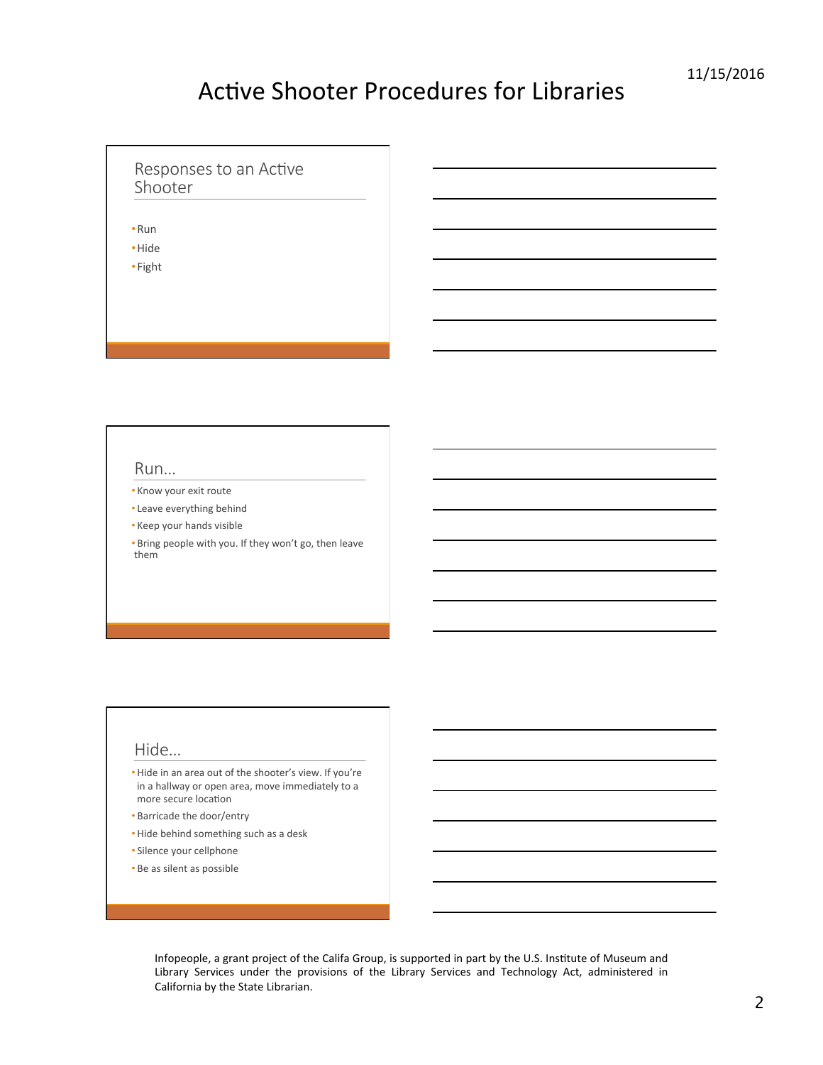#### Responses to an Active Shooter

•Run 

•Hide 

• Fight 

#### Run…

- Know your exit route
- Leave everything behind
- Keep your hands visible
- Bring people with you. If they won't go, then leave them

#### Hide…

- Hide in an area out of the shooter's view. If you're in a hallway or open area, move immediately to a more secure location
- Barricade the door/entry
- Hide behind something such as a desk
- Silence your cellphone
- Be as silent as possible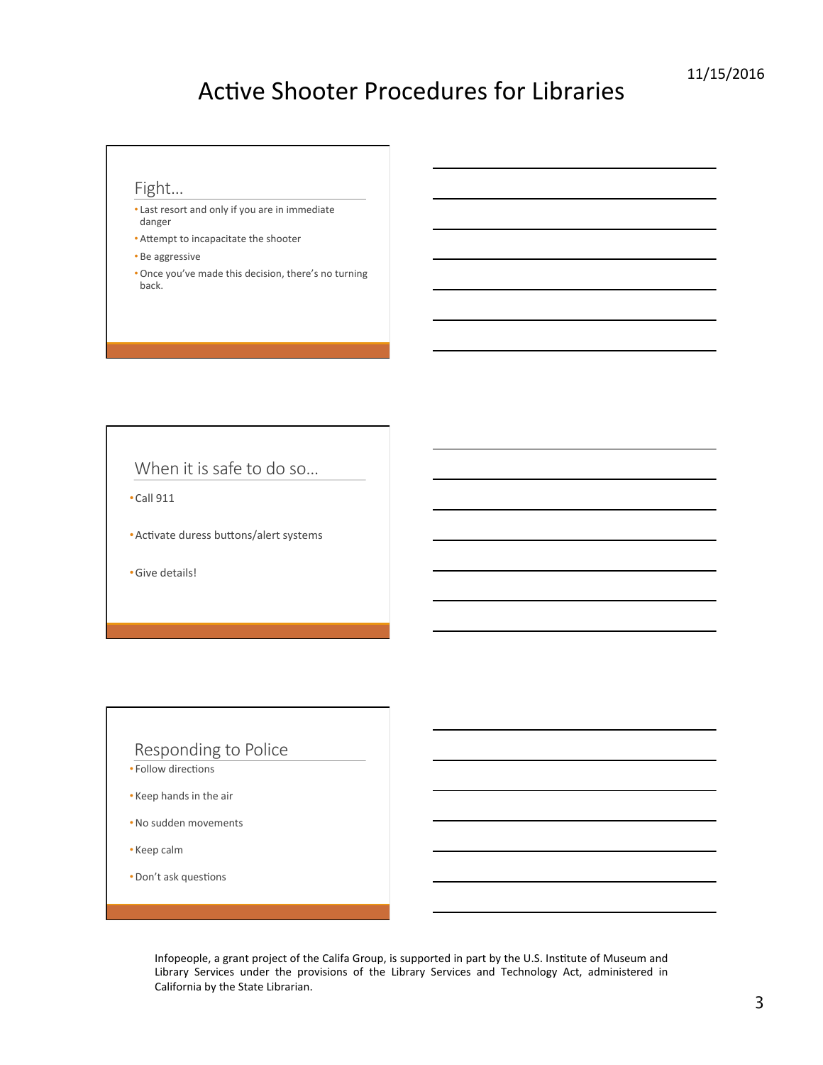### Fight…

- Last resort and only if you are in immediate danger
- Attempt to incapacitate the shooter
- Be aggressive
- Once you've made this decision, there's no turning back.

When it is safe to do so…

 $\cdot$ Call 911

• Activate duress buttons/alert systems

•Give details! 

#### Responding to Police

- Follow directions
- Keep hands in the air
- No sudden movements
- Keep calm
- Don't ask questions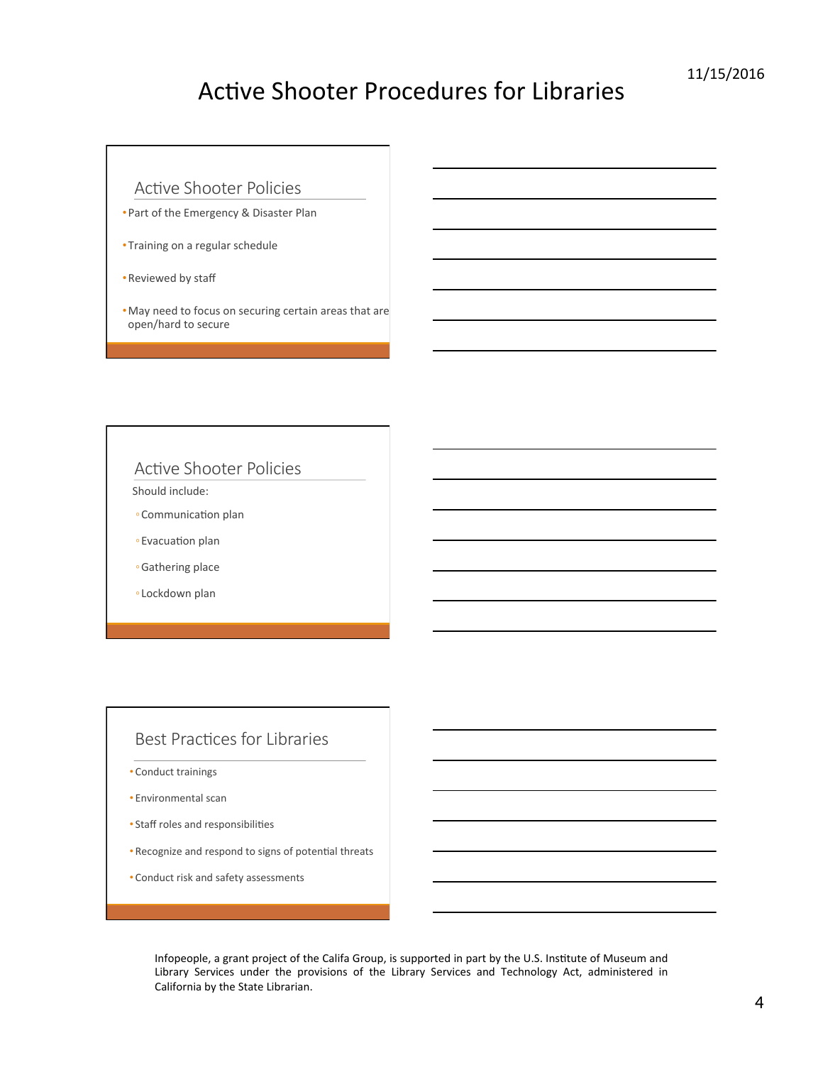### Active Shooter Policies

- Part of the Emergency & Disaster Plan
- Training on a regular schedule
- Reviewed by staff
- May need to focus on securing certain areas that are open/hard to secure

#### Active Shooter Policies

Should include:

- Communication plan
- Evacuation plan
- ◦Gathering place
- Lockdown plan

#### Best Practices for Libraries

- Conduct trainings
- Environmental scan
- Staff roles and responsibilities
- Recognize and respond to signs of potential threats
- Conduct risk and safety assessments